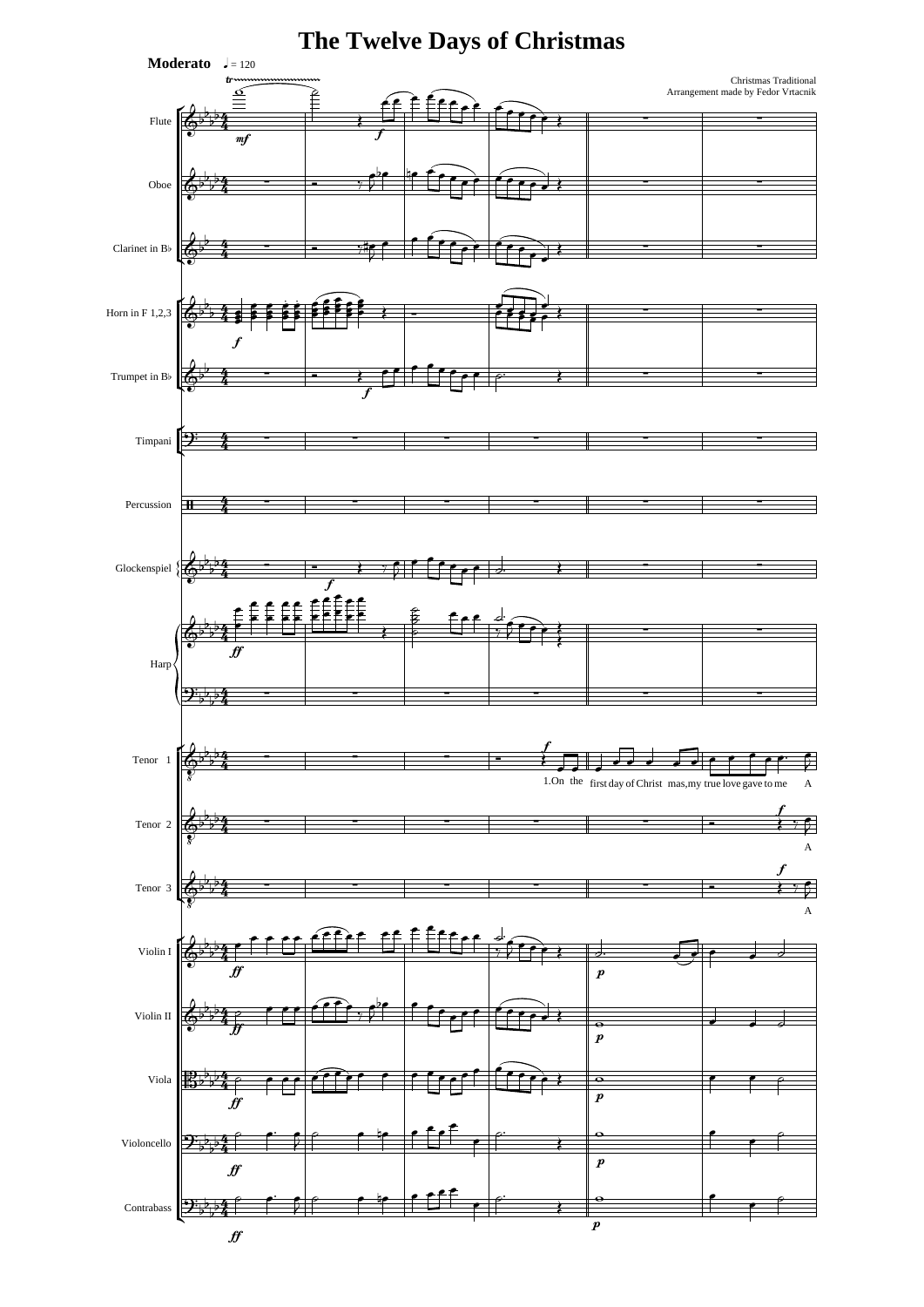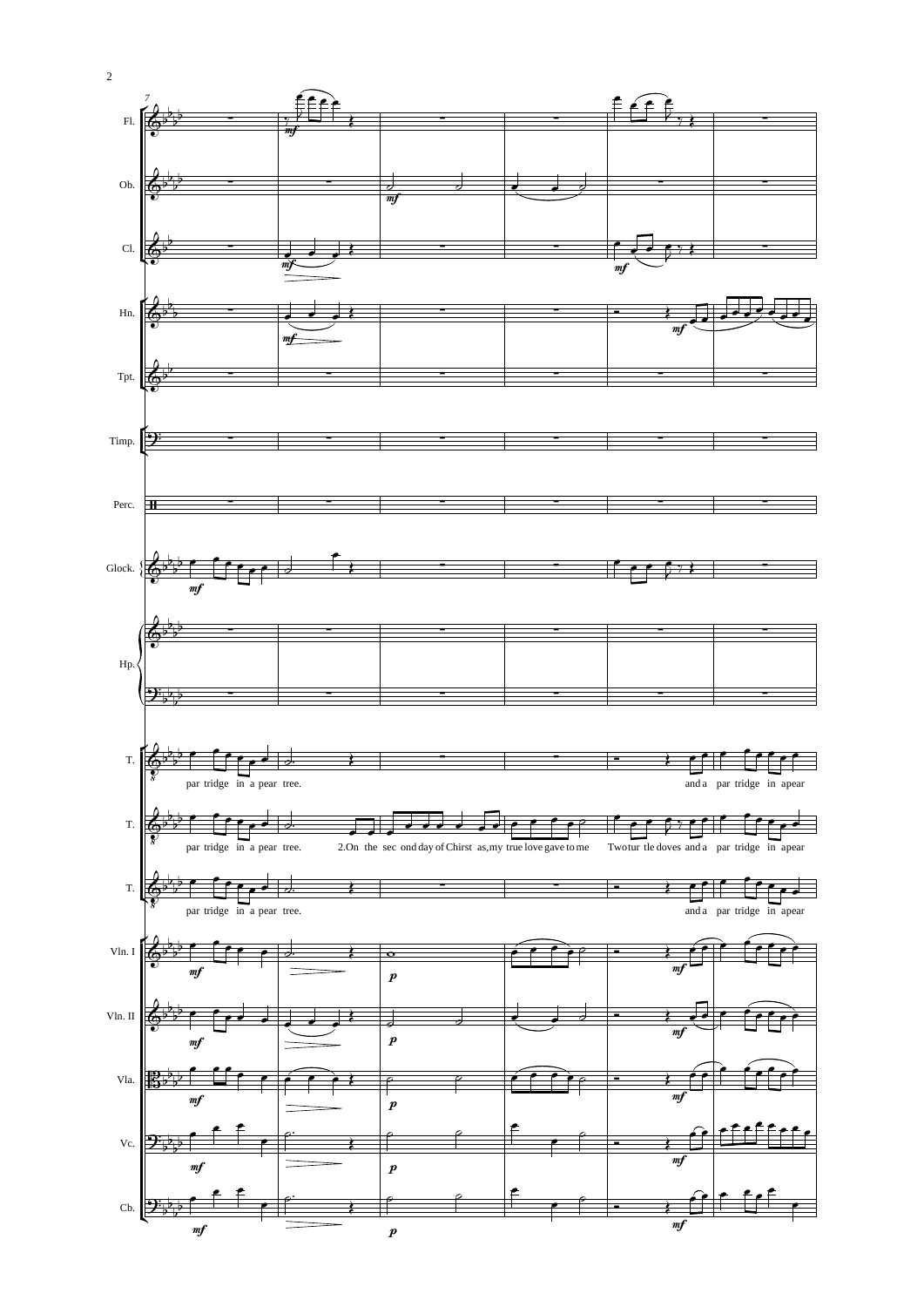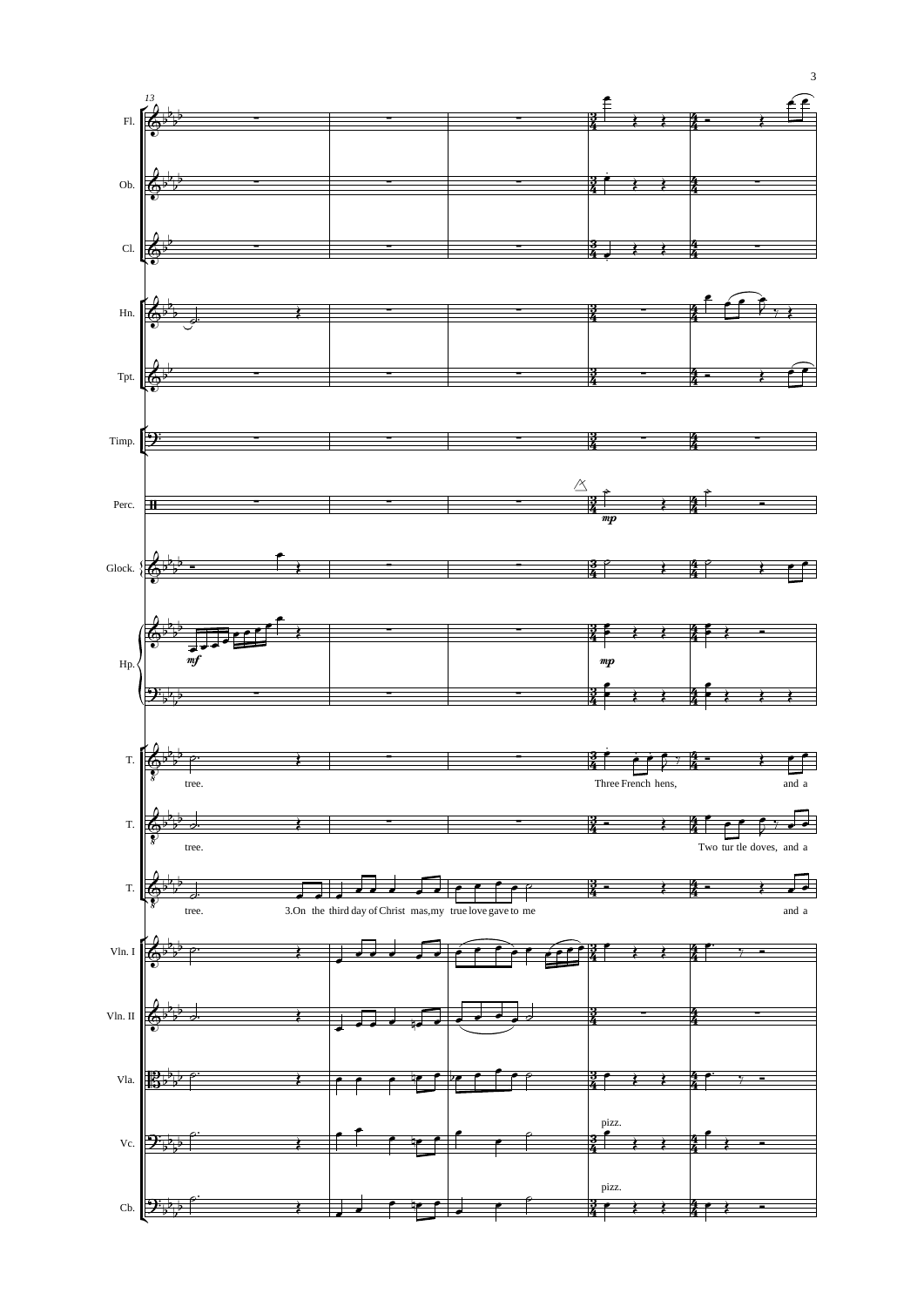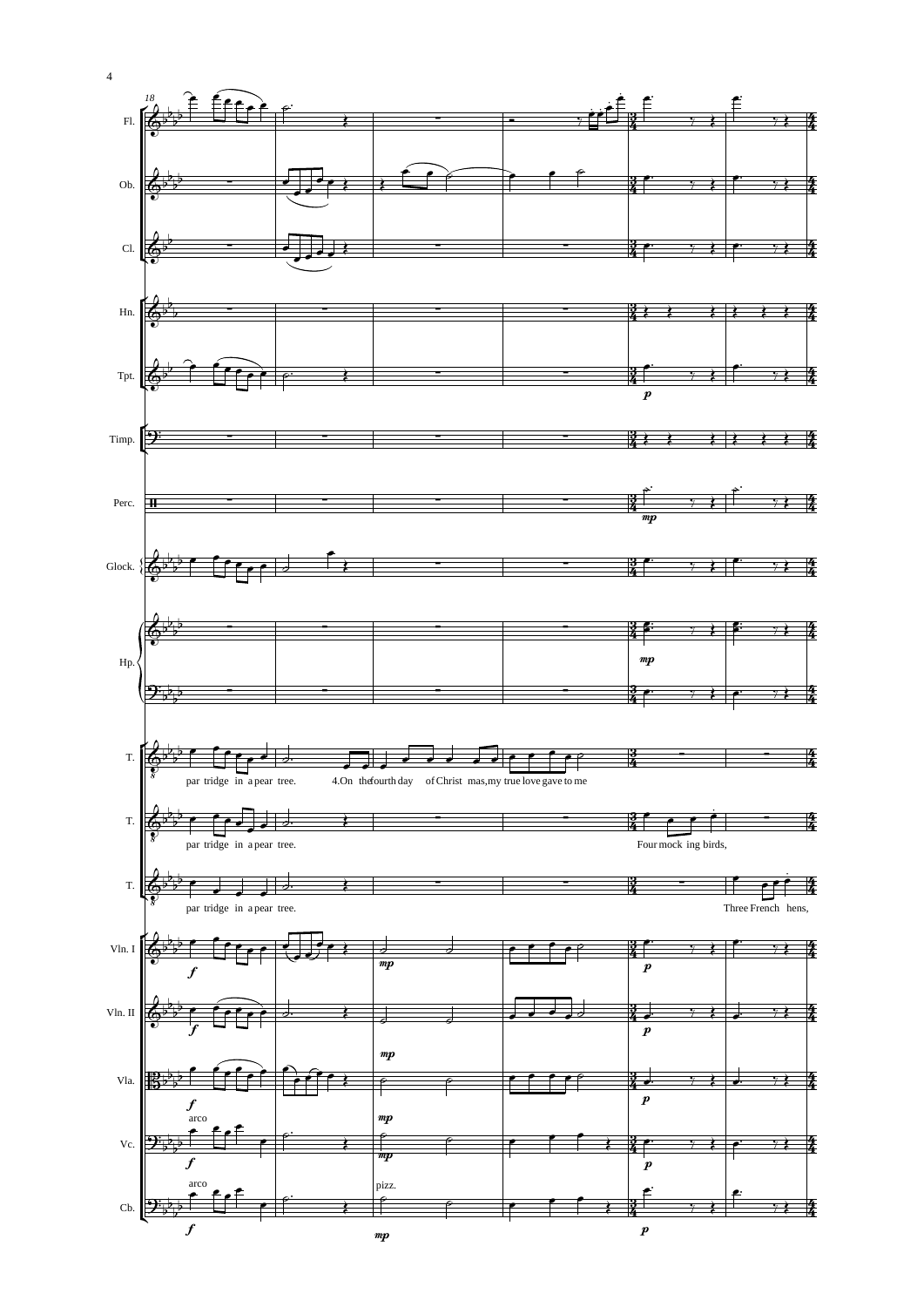